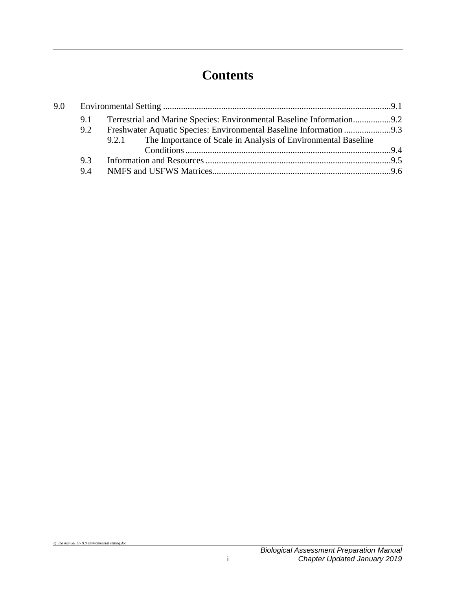# **Contents**

| 9.0 |     |  |                                                                       |  |  |
|-----|-----|--|-----------------------------------------------------------------------|--|--|
|     | 9.1 |  | Terrestrial and Marine Species: Environmental Baseline Information9.2 |  |  |
|     | 9.2 |  |                                                                       |  |  |
|     |     |  | 9.2.1 The Importance of Scale in Analysis of Environmental Baseline   |  |  |
|     |     |  |                                                                       |  |  |
|     | 9.3 |  |                                                                       |  |  |
|     | 9.4 |  |                                                                       |  |  |
|     |     |  |                                                                       |  |  |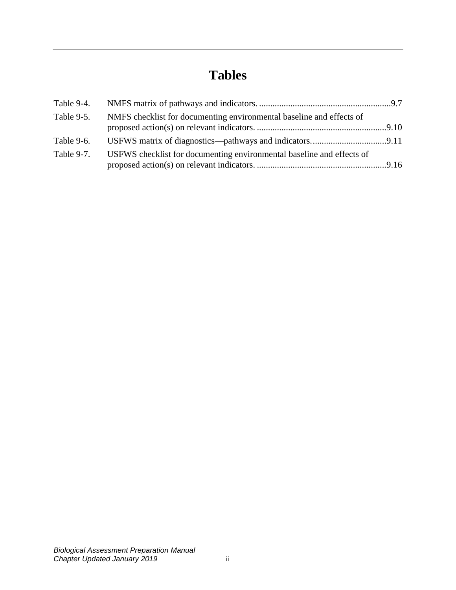# **Tables**

| Table 9-4. |                                                                       |  |
|------------|-----------------------------------------------------------------------|--|
| Table 9-5. | NMFS checklist for documenting environmental baseline and effects of  |  |
|            |                                                                       |  |
| Table 9-6. |                                                                       |  |
| Table 9-7. | USFWS checklist for documenting environmental baseline and effects of |  |
|            |                                                                       |  |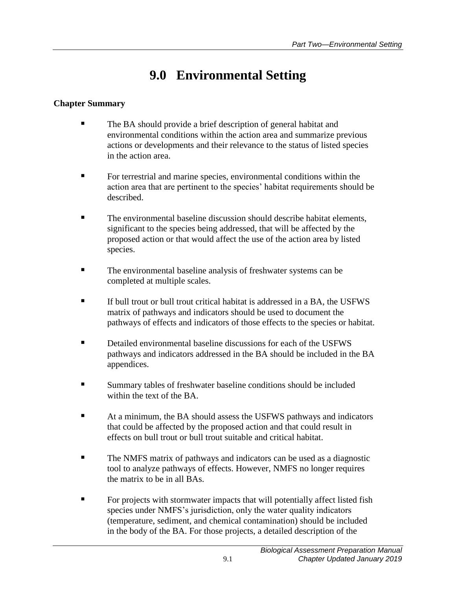## **9.0 Environmental Setting**

### <span id="page-4-0"></span>**Chapter Summary**

- The BA should provide a brief description of general habitat and environmental conditions within the action area and summarize previous actions or developments and their relevance to the status of listed species in the action area.
- For terrestrial and marine species, environmental conditions within the action area that are pertinent to the species' habitat requirements should be described.
- The environmental baseline discussion should describe habitat elements, significant to the species being addressed, that will be affected by the proposed action or that would affect the use of the action area by listed species.
- The environmental baseline analysis of freshwater systems can be completed at multiple scales.
- If bull trout or bull trout critical habitat is addressed in a BA, the USFWS matrix of pathways and indicators should be used to document the pathways of effects and indicators of those effects to the species or habitat.
- Detailed environmental baseline discussions for each of the USFWS pathways and indicators addressed in the BA should be included in the BA appendices.
- Summary tables of freshwater baseline conditions should be included within the text of the BA.
- At a minimum, the BA should assess the USFWS pathways and indicators that could be affected by the proposed action and that could result in effects on bull trout or bull trout suitable and critical habitat.
- The NMFS matrix of pathways and indicators can be used as a diagnostic tool to analyze pathways of effects. However, NMFS no longer requires the matrix to be in all BAs.
- **For projects with stormwater impacts that will potentially affect listed fish** species under NMFS's jurisdiction, only the water quality indicators (temperature, sediment, and chemical contamination) should be included in the body of the BA. For those projects, a detailed description of the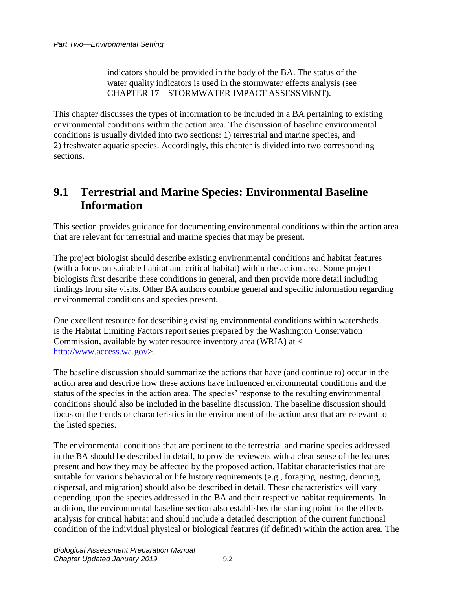indicators should be provided in the body of the BA. The status of the water quality indicators is used in the stormwater effects analysis (see CHAPTER 17 – STORMWATER IMPACT ASSESSMENT).

This chapter discusses the types of information to be included in a BA pertaining to existing environmental conditions within the action area. The discussion of baseline environmental conditions is usually divided into two sections: 1) terrestrial and marine species, and 2) freshwater aquatic species. Accordingly, this chapter is divided into two corresponding sections.

### <span id="page-5-0"></span>**9.1 Terrestrial and Marine Species: Environmental Baseline Information**

This section provides guidance for documenting environmental conditions within the action area that are relevant for terrestrial and marine species that may be present.

The project biologist should describe existing environmental conditions and habitat features (with a focus on suitable habitat and critical habitat) within the action area. Some project biologists first describe these conditions in general, and then provide more detail including findings from site visits. Other BA authors combine general and specific information regarding environmental conditions and species present.

One excellent resource for describing existing environmental conditions within watersheds is the Habitat Limiting Factors report series prepared by the Washington Conservation Commission, available by water resource inventory area (WRIA) at < [http://www.access.wa.gov>](http://www.access.wa.gov/).

The baseline discussion should summarize the actions that have (and continue to) occur in the action area and describe how these actions have influenced environmental conditions and the status of the species in the action area. The species' response to the resulting environmental conditions should also be included in the baseline discussion. The baseline discussion should focus on the trends or characteristics in the environment of the action area that are relevant to the listed species.

The environmental conditions that are pertinent to the terrestrial and marine species addressed in the BA should be described in detail, to provide reviewers with a clear sense of the features present and how they may be affected by the proposed action. Habitat characteristics that are suitable for various behavioral or life history requirements (e.g., foraging, nesting, denning, dispersal, and migration) should also be described in detail. These characteristics will vary depending upon the species addressed in the BA and their respective habitat requirements. In addition, the environmental baseline section also establishes the starting point for the effects analysis for critical habitat and should include a detailed description of the current functional condition of the individual physical or biological features (if defined) within the action area. The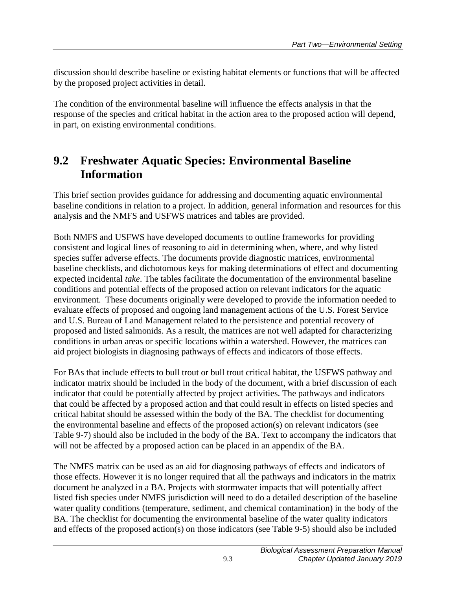discussion should describe baseline or existing habitat elements or functions that will be affected by the proposed project activities in detail.

The condition of the environmental baseline will influence the effects analysis in that the response of the species and critical habitat in the action area to the proposed action will depend, in part, on existing environmental conditions.

### <span id="page-6-0"></span>**9.2 Freshwater Aquatic Species: Environmental Baseline Information**

This brief section provides guidance for addressing and documenting aquatic environmental baseline conditions in relation to a project. In addition, general information and resources for this analysis and the NMFS and USFWS matrices and tables are provided.

Both NMFS and USFWS have developed documents to outline frameworks for providing consistent and logical lines of reasoning to aid in determining when, where, and why listed species suffer adverse effects. The documents provide diagnostic matrices, environmental baseline checklists, and dichotomous keys for making determinations of effect and documenting expected incidental *take*. The tables facilitate the documentation of the environmental baseline conditions and potential effects of the proposed action on relevant indicators for the aquatic environment. These documents originally were developed to provide the information needed to evaluate effects of proposed and ongoing land management actions of the U.S. Forest Service and U.S. Bureau of Land Management related to the persistence and potential recovery of proposed and listed salmonids. As a result, the matrices are not well adapted for characterizing conditions in urban areas or specific locations within a watershed. However, the matrices can aid project biologists in diagnosing pathways of effects and indicators of those effects.

For BAs that include effects to bull trout or bull trout critical habitat, the USFWS pathway and indicator matrix should be included in the body of the document, with a brief discussion of each indicator that could be potentially affected by project activities. The pathways and indicators that could be affected by a proposed action and that could result in effects on listed species and critical habitat should be assessed within the body of the BA. The checklist for documenting the environmental baseline and effects of the proposed action(s) on relevant indicators (see Table 9-7) should also be included in the body of the BA. Text to accompany the indicators that will not be affected by a proposed action can be placed in an appendix of the BA.

The NMFS matrix can be used as an aid for diagnosing pathways of effects and indicators of those effects. However it is no longer required that all the pathways and indicators in the matrix document be analyzed in a BA. Projects with stormwater impacts that will potentially affect listed fish species under NMFS jurisdiction will need to do a detailed description of the baseline water quality conditions (temperature, sediment, and chemical contamination) in the body of the BA. The checklist for documenting the environmental baseline of the water quality indicators and effects of the proposed action(s) on those indicators (see Table 9-5) should also be included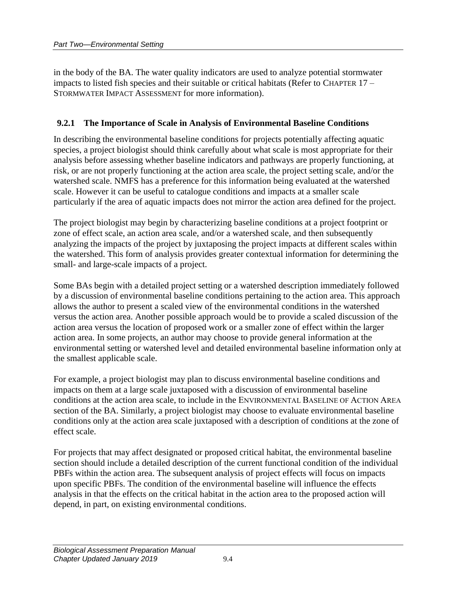in the body of the BA. The water quality indicators are used to analyze potential stormwater impacts to listed fish species and their suitable or critical habitats (Refer to CHAPTER 17 – STORMWATER IMPACT ASSESSMENT for more information).

#### <span id="page-7-0"></span>**9.2.1 The Importance of Scale in Analysis of Environmental Baseline Conditions**

In describing the environmental baseline conditions for projects potentially affecting aquatic species, a project biologist should think carefully about what scale is most appropriate for their analysis before assessing whether baseline indicators and pathways are properly functioning, at risk, or are not properly functioning at the action area scale, the project setting scale, and/or the watershed scale. NMFS has a preference for this information being evaluated at the watershed scale. However it can be useful to catalogue conditions and impacts at a smaller scale particularly if the area of aquatic impacts does not mirror the action area defined for the project.

The project biologist may begin by characterizing baseline conditions at a project footprint or zone of effect scale, an action area scale, and/or a watershed scale, and then subsequently analyzing the impacts of the project by juxtaposing the project impacts at different scales within the watershed. This form of analysis provides greater contextual information for determining the small- and large-scale impacts of a project.

Some BAs begin with a detailed project setting or a watershed description immediately followed by a discussion of environmental baseline conditions pertaining to the action area. This approach allows the author to present a scaled view of the environmental conditions in the watershed versus the action area. Another possible approach would be to provide a scaled discussion of the action area versus the location of proposed work or a smaller zone of effect within the larger action area. In some projects, an author may choose to provide general information at the environmental setting or watershed level and detailed environmental baseline information only at the smallest applicable scale.

For example, a project biologist may plan to discuss environmental baseline conditions and impacts on them at a large scale juxtaposed with a discussion of environmental baseline conditions at the action area scale, to include in the ENVIRONMENTAL BASELINE OF ACTION AREA section of the BA. Similarly, a project biologist may choose to evaluate environmental baseline conditions only at the action area scale juxtaposed with a description of conditions at the zone of effect scale.

For projects that may affect designated or proposed critical habitat, the environmental baseline section should include a detailed description of the current functional condition of the individual PBFs within the action area. The subsequent analysis of project effects will focus on impacts upon specific PBFs. The condition of the environmental baseline will influence the effects analysis in that the effects on the critical habitat in the action area to the proposed action will depend, in part, on existing environmental conditions.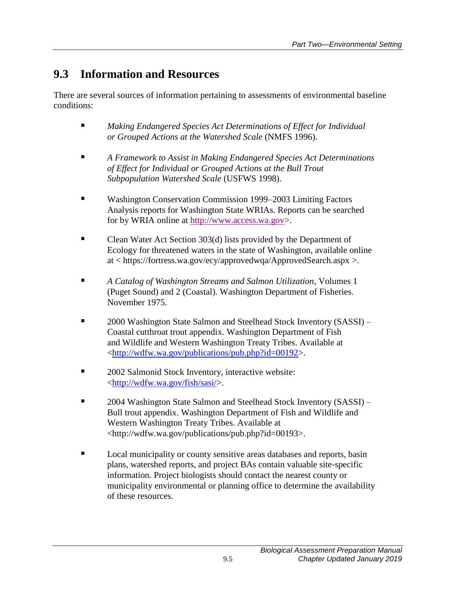## <span id="page-8-0"></span>**9.3 Information and Resources**

There are several sources of information pertaining to assessments of environmental baseline conditions:

- *Making Endangered Species Act Determinations of Effect for Individual or Grouped Actions at the Watershed Scale* (NMFS 1996).
- *A Framework to Assist in Making Endangered Species Act Determinations of Effect for Individual or Grouped Actions at the Bull Trout Subpopulation Watershed Scale* (USFWS 1998).
- Washington Conservation Commission 1999–2003 Limiting Factors Analysis reports for Washington State WRIAs. Reports can be searched for by WRIA online at [http://www.access.wa.gov>](http://www.access.wa.gov/).
- Clean Water Act Section 303(d) lists provided by the Department of Ecology for threatened waters in the state of Washington, available online at < https://fortress.wa.gov/ecy/approvedwqa/ApprovedSearch.aspx >.
- *A Catalog of Washington Streams and Salmon Utilization*, Volumes 1 (Puget Sound) and 2 (Coastal). Washington Department of Fisheries. November 1975.
- 2000 Washington State Salmon and Steelhead Stock Inventory (SASSI) Coastal cutthroat trout appendix. Washington Department of Fish and Wildlife and Western Washington Treaty Tribes. Available at [<http://wdfw.wa.gov/publications/pub.php?id=00192>](http://wdfw.wa.gov/publications/pub.php?id=00192).
- **2002 Salmonid Stock Inventory, interactive website:** [<http://wdfw.wa.gov/fish/sasi/>](http://wdfw.wa.gov/fish/sasi/).
- 2004 Washington State Salmon and Steelhead Stock Inventory (SASSI) Bull trout appendix. Washington Department of Fish and Wildlife and Western Washington Treaty Tribes. Available at <http://wdfw.wa.gov/publications/pub.php?id=00193>.
- **Local municipality or county sensitive areas databases and reports, basin** plans, watershed reports, and project BAs contain valuable site-specific information. Project biologists should contact the nearest county or municipality environmental or planning office to determine the availability of these resources.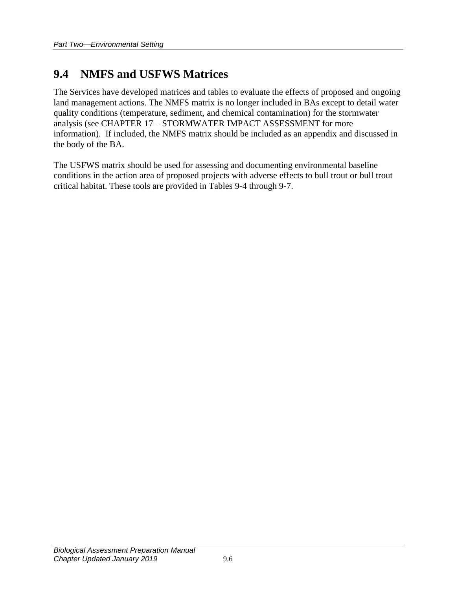## <span id="page-9-0"></span>**9.4 NMFS and USFWS Matrices**

The Services have developed matrices and tables to evaluate the effects of proposed and ongoing land management actions. The NMFS matrix is no longer included in BAs except to detail water quality conditions (temperature, sediment, and chemical contamination) for the stormwater analysis (see CHAPTER 17 – STORMWATER IMPACT ASSESSMENT for more information). If included, the NMFS matrix should be included as an appendix and discussed in the body of the BA.

The USFWS matrix should be used for assessing and documenting environmental baseline conditions in the action area of proposed projects with adverse effects to bull trout or bull trout critical habitat. These tools are provided in Tables 9-4 through 9-7.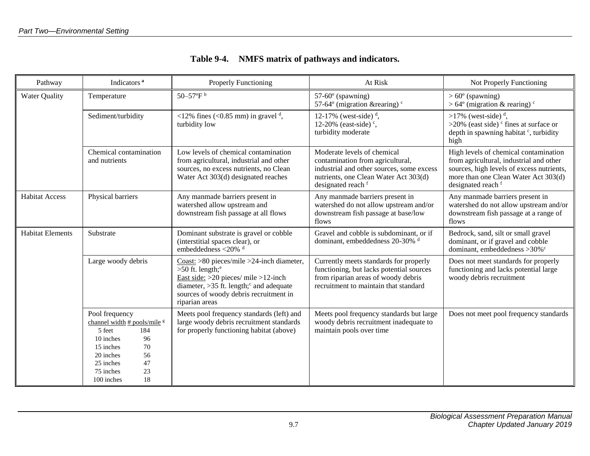<span id="page-10-0"></span>

| Pathway                 | Indicators <sup>a</sup>                                                                                                                                                                       | <b>Properly Functioning</b>                                                                                                                                                                                                                        | At Risk                                                                                                                                                                     | Not Properly Functioning                                                                                                                                                                    |
|-------------------------|-----------------------------------------------------------------------------------------------------------------------------------------------------------------------------------------------|----------------------------------------------------------------------------------------------------------------------------------------------------------------------------------------------------------------------------------------------------|-----------------------------------------------------------------------------------------------------------------------------------------------------------------------------|---------------------------------------------------------------------------------------------------------------------------------------------------------------------------------------------|
| <b>Water Quality</b>    | Temperature                                                                                                                                                                                   | 50-57 $\rm{P}^{\rm{b}}$                                                                                                                                                                                                                            | $57-60^\circ$ (spawning)<br>57-64 $\degree$ (migration & rearing) $\degree$                                                                                                 | $> 60^{\circ}$ (spawning)<br>$>64^{\circ}$ (migration & rearing) <sup>c</sup>                                                                                                               |
|                         | Sediment/turbidity                                                                                                                                                                            | <12% fines (<0.85 mm) in gravel $d$ ,<br>turbidity low                                                                                                                                                                                             | 12-17% (west-side) $d$ ,<br>12-20% (east-side) $\degree$ ,<br>turbidity moderate                                                                                            | $>17\%$ (west-side) <sup>d</sup> ,<br>$>20\%$ (east side) ° fines at surface or<br>depth in spawning habitat <sup>c</sup> , turbidity<br>high                                               |
|                         | Chemical contamination<br>and nutrients                                                                                                                                                       | Low levels of chemical contamination<br>from agricultural, industrial and other<br>sources, no excess nutrients, no Clean<br>Water Act 303(d) designated reaches                                                                                   | Moderate levels of chemical<br>contamination from agricultural,<br>industrial and other sources, some excess<br>nutrients, one Clean Water Act 303(d)<br>designated reach f | High levels of chemical contamination<br>from agricultural, industrial and other<br>sources, high levels of excess nutrients,<br>more than one Clean Water Act 303(d)<br>designated reach f |
| <b>Habitat Access</b>   | Physical barriers                                                                                                                                                                             | Any manmade barriers present in<br>watershed allow upstream and<br>downstream fish passage at all flows                                                                                                                                            | Any manmade barriers present in<br>watershed do not allow upstream and/or<br>downstream fish passage at base/low<br>flows                                                   | Any manmade barriers present in<br>watershed do not allow upstream and/or<br>downstream fish passage at a range of<br>flows                                                                 |
| <b>Habitat Elements</b> | Substrate                                                                                                                                                                                     | Dominant substrate is gravel or cobble<br>(interstitial spaces clear), or<br>embeddedness <20% d                                                                                                                                                   | Gravel and cobble is subdominant, or if<br>dominant, embeddedness 20-30% d                                                                                                  | Bedrock, sand, silt or small gravel<br>dominant, or if gravel and cobble<br>dominant, embeddedness >30% <sup>c</sup>                                                                        |
|                         | Large woody debris                                                                                                                                                                            | $\text{Coast:} > 80$ pieces/mile $>24$ -inch diameter,<br>$>50$ ft. length; $^e$<br>East side: $>20$ pieces/ mile $>12$ -inch<br>diameter, $>35$ ft. length; <sup>c</sup> and adequate<br>sources of woody debris recruitment in<br>riparian areas | Currently meets standards for properly<br>functioning, but lacks potential sources<br>from riparian areas of woody debris<br>recruitment to maintain that standard          | Does not meet standards for properly<br>functioning and lacks potential large<br>woody debris recruitment                                                                                   |
|                         | Pool frequency<br>channel width # pools/mile <sup>g</sup><br>5 feet<br>184<br>10 inches<br>96<br>15 inches<br>70<br>20 inches<br>56<br>47<br>25 inches<br>75 inches<br>23<br>18<br>100 inches | Meets pool frequency standards (left) and<br>large woody debris recruitment standards<br>for properly functioning habitat (above)                                                                                                                  | Meets pool frequency standards but large<br>woody debris recruitment inadequate to<br>maintain pools over time                                                              | Does not meet pool frequency standards                                                                                                                                                      |

### **Table 9-4. NMFS matrix of pathways and indicators.**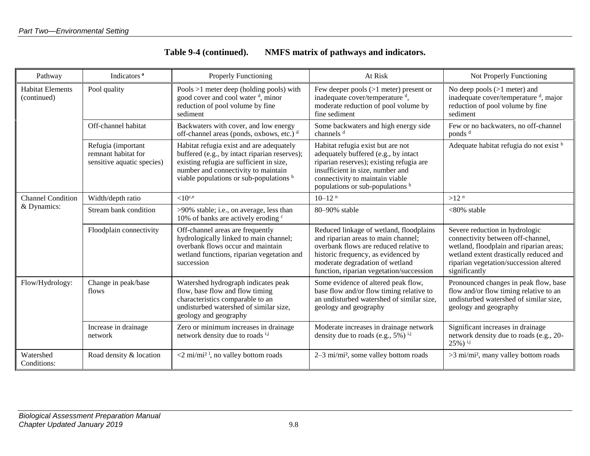| Table 9-4 (continued). | NMFS matrix of pathways and indicators. |
|------------------------|-----------------------------------------|
|------------------------|-----------------------------------------|

| Pathway                                | Indicators <sup>a</sup>                                                 | <b>Properly Functioning</b>                                                                                                                                                                                             | At Risk                                                                                                                                                                                                                                        | Not Properly Functioning                                                                                                                                                                                            |
|----------------------------------------|-------------------------------------------------------------------------|-------------------------------------------------------------------------------------------------------------------------------------------------------------------------------------------------------------------------|------------------------------------------------------------------------------------------------------------------------------------------------------------------------------------------------------------------------------------------------|---------------------------------------------------------------------------------------------------------------------------------------------------------------------------------------------------------------------|
| <b>Habitat Elements</b><br>(continued) | Pool quality                                                            | Pools $>1$ meter deep (holding pools) with<br>good cover and cool water <sup>d</sup> , minor<br>reduction of pool volume by fine<br>sediment                                                                            | Few deeper pools $(>1$ meter) present or<br>inadequate cover/temperature <sup>d</sup> ,<br>moderate reduction of pool volume by<br>fine sediment                                                                                               | No deep pools $(>1$ meter) and<br>inadequate cover/temperature <sup>d</sup> , major<br>reduction of pool volume by fine<br>sediment                                                                                 |
|                                        | Off-channel habitat                                                     | Backwaters with cover, and low energy<br>off-channel areas (ponds, oxbows, etc.) d                                                                                                                                      | Some backwaters and high energy side<br>channels <sup>d</sup>                                                                                                                                                                                  | Few or no backwaters, no off-channel<br>ponds <sup>d</sup>                                                                                                                                                          |
|                                        | Refugia (important<br>remnant habitat for<br>sensitive aquatic species) | Habitat refugia exist and are adequately<br>buffered (e.g., by intact riparian reserves);<br>existing refugia are sufficient in size,<br>number and connectivity to maintain<br>viable populations or sub-populations h | Habitat refugia exist but are not<br>adequately buffered (e.g., by intact<br>riparian reserves); existing refugia are<br>insufficient in size, number and<br>connectivity to maintain viable<br>populations or sub-populations h               | Adequate habitat refugia do not exist h                                                                                                                                                                             |
| <b>Channel Condition</b>               | Width/depth ratio                                                       | ${<}10^{\rm c,e}$                                                                                                                                                                                                       | $10-12$ <sup>n</sup>                                                                                                                                                                                                                           | >12 <sup>n</sup>                                                                                                                                                                                                    |
| & Dynamics:                            | Stream bank condition                                                   | >90% stable; i.e., on average, less than<br>10% of banks are actively eroding c                                                                                                                                         | 80-90% stable                                                                                                                                                                                                                                  | $<80\%$ stable                                                                                                                                                                                                      |
|                                        | Floodplain connectivity                                                 | Off-channel areas are frequently<br>hydrologically linked to main channel;<br>overbank flows occur and maintain<br>wetland functions, riparian vegetation and<br>succession                                             | Reduced linkage of wetland, floodplains<br>and riparian areas to main channel;<br>overbank flows are reduced relative to<br>historic frequency, as evidenced by<br>moderate degradation of wetland<br>function, riparian vegetation/succession | Severe reduction in hydrologic<br>connectivity between off-channel,<br>wetland, floodplain and riparian areas;<br>wetland extent drastically reduced and<br>riparian vegetation/succession altered<br>significantly |
| Flow/Hydrology:                        | Change in peak/base<br>flows                                            | Watershed hydrograph indicates peak<br>flow, base flow and flow timing<br>characteristics comparable to an<br>undisturbed watershed of similar size,<br>geology and geography                                           | Some evidence of altered peak flow,<br>base flow and/or flow timing relative to<br>an undisturbed watershed of similar size,<br>geology and geography                                                                                          | Pronounced changes in peak flow, base<br>flow and/or flow timing relative to an<br>undisturbed watershed of similar size,<br>geology and geography                                                                  |
|                                        | Increase in drainage<br>network                                         | Zero or minimum increases in drainage<br>network density due to roads ij                                                                                                                                                | Moderate increases in drainage network<br>density due to roads (e.g., $5\%$ ) <sup>i,j</sup>                                                                                                                                                   | Significant increases in drainage<br>network density due to roads (e.g., 20-<br>$25\%$ ) $^{i,j}$                                                                                                                   |
| Watershed<br>Conditions:               | Road density & location                                                 | $\leq$ 2 mi/mi <sup>2</sup> <sup>1</sup> , no valley bottom roads                                                                                                                                                       | 2–3 mi/mi <sup>2</sup> , some valley bottom roads                                                                                                                                                                                              | >3 mi/mi <sup>2</sup> , many valley bottom roads                                                                                                                                                                    |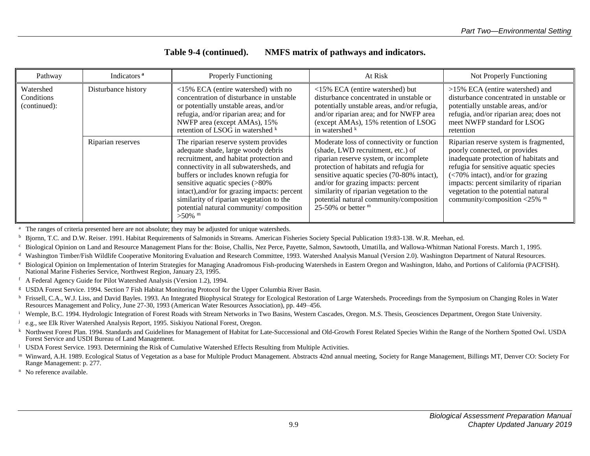| Table 9-4 (continued). | NMFS matrix of pathways and indicators. |
|------------------------|-----------------------------------------|
|------------------------|-----------------------------------------|

| Pathway                                 | Indicators <sup>a</sup> | <b>Properly Functioning</b>                                                                                                                                                                                                                                                                                                                                                                     | At Risk                                                                                                                                                                                                                                                                                                                                                                | Not Properly Functioning                                                                                                                                                                                                                                                                                                                      |
|-----------------------------------------|-------------------------|-------------------------------------------------------------------------------------------------------------------------------------------------------------------------------------------------------------------------------------------------------------------------------------------------------------------------------------------------------------------------------------------------|------------------------------------------------------------------------------------------------------------------------------------------------------------------------------------------------------------------------------------------------------------------------------------------------------------------------------------------------------------------------|-----------------------------------------------------------------------------------------------------------------------------------------------------------------------------------------------------------------------------------------------------------------------------------------------------------------------------------------------|
| Watershed<br>Conditions<br>(continued): | Disturbance history     | <15% ECA (entire watershed) with no<br>concentration of disturbance in unstable<br>or potentially unstable areas, and/or<br>refugia, and/or riparian area; and for<br>NWFP area (except AMAs), 15%<br>retention of LSOG in watershed k                                                                                                                                                          | <15% ECA (entire watershed) but<br>disturbance concentrated in unstable or<br>potentially unstable areas, and/or refugia,<br>and/or riparian area; and for NWFP area<br>(except AMAs), 15% retention of LSOG<br>in watershed k                                                                                                                                         | >15% ECA (entire watershed) and<br>disturbance concentrated in unstable or<br>potentially unstable areas, and/or<br>refugia, and/or riparian area; does not<br>meet NWFP standard for LSOG<br>retention                                                                                                                                       |
|                                         | Riparian reserves       | The riparian reserve system provides<br>adequate shade, large woody debris<br>recruitment, and habitat protection and<br>connectivity in all subwatersheds, and<br>buffers or includes known refugia for<br>sensitive aquatic species (>80%<br>intact), and/or for grazing impacts: percent<br>similarity of riparian vegetation to the<br>potential natural community/composition<br>$>50\%$ m | Moderate loss of connectivity or function<br>(shade, LWD recruitment, etc.) of<br>riparian reserve system, or incomplete<br>protection of habitats and refugia for<br>sensitive aquatic species (70-80% intact),<br>and/or for grazing impacts: percent<br>similarity of riparian vegetation to the<br>potential natural community/composition<br>25-50% or better $m$ | Riparian reserve system is fragmented,<br>poorly connected, or provides<br>inadequate protection of habitats and<br>refugia for sensitive aquatic species<br>$\left($ <70% intact), and/or for grazing<br>impacts: percent similarity of riparian<br>vegetation to the potential natural<br>community/composition $\langle 25\%$ <sup>m</sup> |

The ranges of criteria presented here are not absolute; they may be adjusted for unique watersheds.

<sup>b</sup> Bjornn, T.C. and D.W. Reiser. 1991. Habitat Requirements of Salmonids in Streams. American Fisheries Society Special Publication 19:83-138. W.R. Meehan, ed.

<sup>c</sup> Biological Opinion on Land and Resource Management Plans for the: Boise, Challis, Nez Perce, Payette, Salmon, Sawtooth, Umatilla, and Wallowa-Whitman National Forests. March 1, 1995.

<sup>d</sup> Washington Timber/Fish Wildlife Cooperative Monitoring Evaluation and Research Committee, 1993. Watershed Analysis Manual (Version 2.0). Washington Department of Natural Resources.

<sup>e</sup> Biological Opinion on Implementation of Interim Strategies for Managing Anadromous Fish-producing Watersheds in Eastern Oregon and Washington, Idaho, and Portions of California (PACFISH). National Marine Fisheries Service, Northwest Region, January 23, 1995.

<sup>f</sup> A Federal Agency Guide for Pilot Watershed Analysis (Version 1.2), 1994.

<sup>g</sup> USDA Forest Service. 1994. Section 7 Fish Habitat Monitoring Protocol for the Upper Columbia River Basin.

<sup>h</sup> Frissell, C.A., W.J. Liss, and David Bayles. 1993. An Integrated Biophysical Strategy for Ecological Restoration of Large Watersheds. Proceedings from the Symposium on Changing Roles in Water Resources Management and Policy, June 27-30, 1993 (American Water Resources Association), pp. 449–456.

<sup>i</sup> Wemple, B.C. 1994. Hydrologic Integration of Forest Roads with Stream Networks in Two Basins, Western Cascades, Oregon. M.S. Thesis, Geosciences Department, Oregon State University.

j e.g., see Elk River Watershed Analysis Report, 1995. Siskiyou National Forest, Oregon.

k Northwest Forest Plan. 1994. Standards and Guidelines for Management of Habitat for Late-Successional and Old-Growth Forest Related Species Within the Range of the Northern Spotted Owl. USDA Forest Service and USDI Bureau of Land Management.

<sup>l</sup> USDA Forest Service. 1993. Determining the Risk of Cumulative Watershed Effects Resulting from Multiple Activities.

m Winward, A.H. 1989. Ecological Status of Vegetation as a base for Multiple Product Management. Abstracts 42nd annual meeting, Society for Range Management, Billings MT, Denver CO: Society For Range Management: p. 277.

<sup>n</sup> No reference available.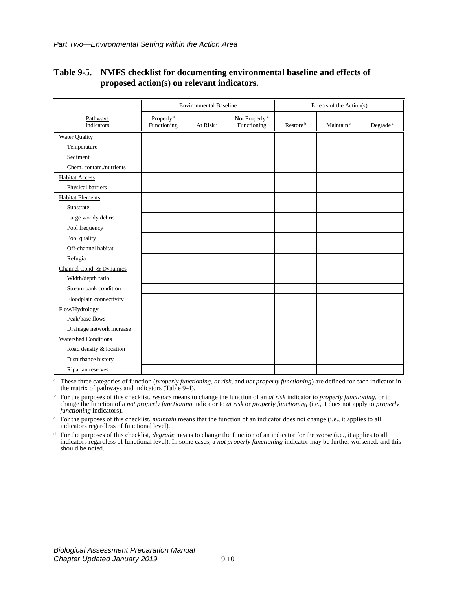|                             | <b>Environmental Baseline</b>        |                      |                                          | Effects of the Action(s) |                       |                      |
|-----------------------------|--------------------------------------|----------------------|------------------------------------------|--------------------------|-----------------------|----------------------|
| Pathways<br>Indicators      | Properly <sup>a</sup><br>Functioning | At Risk <sup>a</sup> | Not Properly <sup>a</sup><br>Functioning | Restore <sup>b</sup>     | Maintain <sup>c</sup> | Degrade <sup>d</sup> |
| <b>Water Quality</b>        |                                      |                      |                                          |                          |                       |                      |
| Temperature                 |                                      |                      |                                          |                          |                       |                      |
| Sediment                    |                                      |                      |                                          |                          |                       |                      |
| Chem. contam./nutrients     |                                      |                      |                                          |                          |                       |                      |
| <b>Habitat Access</b>       |                                      |                      |                                          |                          |                       |                      |
| Physical barriers           |                                      |                      |                                          |                          |                       |                      |
| <b>Habitat Elements</b>     |                                      |                      |                                          |                          |                       |                      |
| Substrate                   |                                      |                      |                                          |                          |                       |                      |
| Large woody debris          |                                      |                      |                                          |                          |                       |                      |
| Pool frequency              |                                      |                      |                                          |                          |                       |                      |
| Pool quality                |                                      |                      |                                          |                          |                       |                      |
| Off-channel habitat         |                                      |                      |                                          |                          |                       |                      |
| Refugia                     |                                      |                      |                                          |                          |                       |                      |
| Channel Cond. & Dynamics    |                                      |                      |                                          |                          |                       |                      |
| Width/depth ratio           |                                      |                      |                                          |                          |                       |                      |
| Stream bank condition       |                                      |                      |                                          |                          |                       |                      |
| Floodplain connectivity     |                                      |                      |                                          |                          |                       |                      |
| Flow/Hydrology              |                                      |                      |                                          |                          |                       |                      |
| Peak/base flows             |                                      |                      |                                          |                          |                       |                      |
| Drainage network increase   |                                      |                      |                                          |                          |                       |                      |
| <b>Watershed Conditions</b> |                                      |                      |                                          |                          |                       |                      |
| Road density & location     |                                      |                      |                                          |                          |                       |                      |
| Disturbance history         |                                      |                      |                                          |                          |                       |                      |
| Riparian reserves           |                                      |                      |                                          |                          |                       |                      |

### <span id="page-13-0"></span>**Table 9-5. NMFS checklist for documenting environmental baseline and effects of proposed action(s) on relevant indicators.**

<sup>a</sup> These three categories of function (*properly functioning*, *at risk*, and *not properly functioning*) are defined for each indicator in the matrix of pathways and indicators (Table 9-4).

<sup>b</sup> For the purposes of this checklist, *restore* means to change the function of an *at risk* indicator to *properly functioning*, or to change the function of a *not properly functioning* indicator to *at risk* or *properly functioning* (i.e., it does not apply to *properly functioning* indicators).

<sup>c</sup> For the purposes of this checklist, *maintain* means that the function of an indicator does not change (i.e., it applies to all indicators regardless of functional level).

<sup>d</sup> For the purposes of this checklist, *degrade* means to change the function of an indicator for the worse (i.e., it applies to all indicators regardless of functional level). In some cases, a *not properly functioning* indicator may be further worsened, and this should be noted.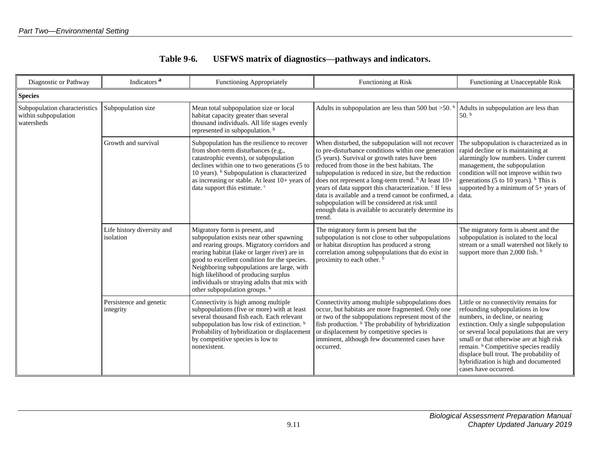| <b>Table 9-6.</b> | USFWS matrix of diagnostics—pathways and indicators. |
|-------------------|------------------------------------------------------|
|-------------------|------------------------------------------------------|

<span id="page-14-0"></span>

| Indicators <sup>a</sup><br>Diagnostic or Pathway                    |                                         | <b>Functioning Appropriately</b>                                                                                                                                                                                                                                                                                                                                                                             | Functioning at Risk                                                                                                                                                                                                                                                                                                                                                                                                                                                                                                                                                                   | Functioning at Unacceptable Risk                                                                                                                                                                                                                                                                                                                                                                                 |  |  |  |
|---------------------------------------------------------------------|-----------------------------------------|--------------------------------------------------------------------------------------------------------------------------------------------------------------------------------------------------------------------------------------------------------------------------------------------------------------------------------------------------------------------------------------------------------------|---------------------------------------------------------------------------------------------------------------------------------------------------------------------------------------------------------------------------------------------------------------------------------------------------------------------------------------------------------------------------------------------------------------------------------------------------------------------------------------------------------------------------------------------------------------------------------------|------------------------------------------------------------------------------------------------------------------------------------------------------------------------------------------------------------------------------------------------------------------------------------------------------------------------------------------------------------------------------------------------------------------|--|--|--|
| <b>Species</b>                                                      |                                         |                                                                                                                                                                                                                                                                                                                                                                                                              |                                                                                                                                                                                                                                                                                                                                                                                                                                                                                                                                                                                       |                                                                                                                                                                                                                                                                                                                                                                                                                  |  |  |  |
| Subpopulation characteristics<br>within subpopulation<br>watersheds | Subpopulation size                      | Mean total subpopulation size or local<br>habitat capacity greater than several<br>thousand individuals. All life stages evenly<br>represented in subpopulation. <sup>b</sup>                                                                                                                                                                                                                                | Adults in subpopulation are less than 500 but $>50$ .                                                                                                                                                                                                                                                                                                                                                                                                                                                                                                                                 | Adults in subpopulation are less than<br>$50.$ b                                                                                                                                                                                                                                                                                                                                                                 |  |  |  |
|                                                                     | Growth and survival                     | Subpopulation has the resilience to recover<br>from short-term disturbances (e.g.,<br>catastrophic events), or subpopulation<br>declines within one to two generations (5 to<br>10 years). <sup>b</sup> Subpopulation is characterized<br>as increasing or stable. At least 10+ years of<br>data support this estimate. <sup>c</sup>                                                                         | When disturbed, the subpopulation will not recover<br>to pre-disturbance conditions within one generation<br>(5 years). Survival or growth rates have been<br>reduced from those in the best habitats. The<br>subpopulation is reduced in size, but the reduction<br>does not represent a long-term trend. <sup>b</sup> At least 10+<br>years of data support this characterization. <sup>c</sup> If less<br>data is available and a trend cannot be confirmed, a<br>subpopulation will be considered at risk until<br>enough data is available to accurately determine its<br>trend. | The subpopulation is characterized as in<br>rapid decline or is maintaining at<br>alarmingly low numbers. Under current<br>management, the subpopulation<br>condition will not improve within two<br>generations (5 to 10 years). $b$ This is<br>supported by a minimum of $5+$ years of<br>data.                                                                                                                |  |  |  |
|                                                                     | Life history diversity and<br>isolation | Migratory form is present, and<br>subpopulation exists near other spawning<br>and rearing groups. Migratory corridors and<br>rearing habitat (lake or larger river) are in<br>good to excellent condition for the species.<br>Neighboring subpopulations are large, with<br>high likelihood of producing surplus<br>individuals or straying adults that mix with<br>other subpopulation groups. <sup>b</sup> | The migratory form is present but the<br>subpopulation is not close to other subpopulations<br>or habitat disruption has produced a strong<br>correlation among subpopulations that do exist in<br>proximity to each other. <sup>b</sup>                                                                                                                                                                                                                                                                                                                                              | The migratory form is absent and the<br>subpopulation is isolated to the local<br>stream or a small watershed not likely to<br>support more than 2,000 fish. $\frac{b}{2}$                                                                                                                                                                                                                                       |  |  |  |
|                                                                     | Persistence and genetic<br>integrity    | Connectivity is high among multiple<br>subpopulations (five or more) with at least<br>several thousand fish each. Each relevant<br>subpopulation has low risk of extinction. b<br>Probability of hybridization or displacement<br>by competitive species is low to<br>nonexistent.                                                                                                                           | Connectivity among multiple subpopulations does<br>occur, but habitats are more fragmented. Only one<br>or two of the subpopulations represent most of the<br>fish production. <sup>b</sup> The probability of hybridization<br>or displacement by competitive species is<br>imminent, although few documented cases have<br>occurred.                                                                                                                                                                                                                                                | Little or no connectivity remains for<br>refounding subpopulations in low<br>numbers, in decline, or nearing<br>extinction. Only a single subpopulation<br>or several local populations that are very<br>small or that otherwise are at high risk<br>remain. <sup>b</sup> Competitive species readily<br>displace bull trout. The probability of<br>hybridization is high and documented<br>cases have occurred. |  |  |  |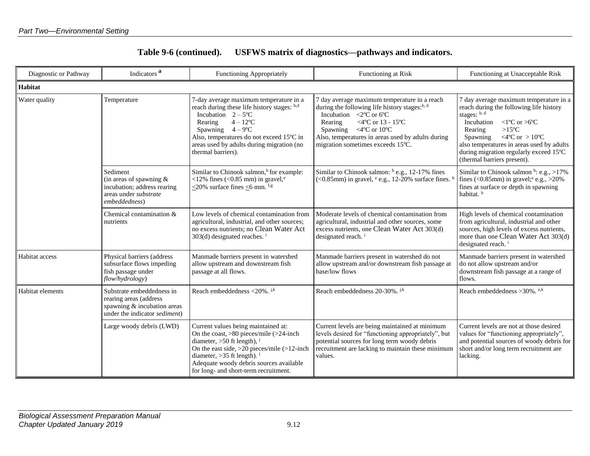| Table 9-6 (continued). | USFWS matrix of diagnostics—pathways and indicators. |  |
|------------------------|------------------------------------------------------|--|
|------------------------|------------------------------------------------------|--|

| Diagnostic or Pathway | Indicators <sup>a</sup><br>Functioning Appropriately                                                                |                                                                                                                                                                                                                                                                                                    | Functioning at Risk                                                                                                                                                                                                                                                                                                   | Functioning at Unacceptable Risk                                                                                                                                                                                                                                                                                                             |
|-----------------------|---------------------------------------------------------------------------------------------------------------------|----------------------------------------------------------------------------------------------------------------------------------------------------------------------------------------------------------------------------------------------------------------------------------------------------|-----------------------------------------------------------------------------------------------------------------------------------------------------------------------------------------------------------------------------------------------------------------------------------------------------------------------|----------------------------------------------------------------------------------------------------------------------------------------------------------------------------------------------------------------------------------------------------------------------------------------------------------------------------------------------|
| <b>Habitat</b>        |                                                                                                                     |                                                                                                                                                                                                                                                                                                    |                                                                                                                                                                                                                                                                                                                       |                                                                                                                                                                                                                                                                                                                                              |
| Water quality         | Temperature                                                                                                         | 7-day average maximum temperature in a<br>reach during these life history stages: b,d<br>Incubation $2-5^{\circ}C$<br>$4 - 12$ <sup>o</sup> C<br>Rearing<br>Spawning $4-9^{\circ}C$<br>Also, temperatures do not exceed 15°C in<br>areas used by adults during migration (no<br>thermal barriers). | 7 day average maximum temperature in a reach<br>during the following life history stages: <sup>b, d</sup><br>Incubation $\langle 2^{\circ} \vec{C} \rangle$ or 6°C<br><4°C or 13 - 15°C<br>Rearing<br>Spawning <4°C or 10°C<br>Also, temperatures in areas used by adults during<br>migration sometimes exceeds 15°C. | 7 day average maximum temperature in a<br>reach during the following life history<br>stages: b, d<br>Incubation<br>$\langle$ 1°C or >6°C<br>$>15^{\circ}$ C<br>Rearing<br><4 $\rm ^{o}C$ or $>10\rm ^{o}C$<br>Spawning<br>also temperatures in areas used by adults<br>during migration regularly exceed 15°C<br>(thermal barriers present). |
|                       | Sediment<br>(in areas of spawning $\&$<br>incubation; address rearing<br>areas under substrate<br>embeddedness)     | Similar to Chinook salmon, <sup>b</sup> for example:<br><12% fines (<0.85 mm) in gravel, $^e$<br>$\leq$ 20% surface fines $\leq$ 6 mm. f,g                                                                                                                                                         | Similar to Chinook salmon: b e.g., 12-17% fines<br>$(<0.85$ mm) in gravel, $e$ e.g., 12-20% surface fines.                                                                                                                                                                                                            | Similar to Chinook salmon $b$ : e.g., >17%<br>fines (<0.85mm) in gravel; $e.g., >20\%$<br>fines at surface or depth in spawning<br>habitat. <sup>h</sup>                                                                                                                                                                                     |
|                       | Chemical contamination &<br>nutrients                                                                               | Low levels of chemical contamination from<br>agricultural, industrial, and other sources;<br>no excess nutrients; no Clean Water Act<br>$303(d)$ designated reaches. <sup>i</sup>                                                                                                                  | Moderate levels of chemical contamination from<br>agricultural, industrial and other sources, some<br>excess nutrients, one Clean Water Act 303(d)<br>designated reach. <sup>i</sup>                                                                                                                                  | High levels of chemical contamination<br>from agricultural, industrial and other<br>sources, high levels of excess nutrients,<br>more than one Clean Water Act 303(d)<br>designated reach. <sup>i</sup>                                                                                                                                      |
| Habitat access        | Physical barriers (address<br>subsurface flows impeding<br>fish passage under<br>flow/hydrology)                    | Manmade barriers present in watershed<br>allow upstream and downstream fish<br>passage at all flows.                                                                                                                                                                                               | Manmade barriers present in watershed do not<br>allow upstream and/or downstream fish passage at<br>base/low flows                                                                                                                                                                                                    | Manmade barriers present in watershed<br>do not allow upstream and/or<br>downstream fish passage at a range of<br>flows.                                                                                                                                                                                                                     |
| Habitat elements      | Substrate embeddedness in<br>rearing areas (address<br>spawning & incubation areas<br>under the indicator sediment) | Reach embeddedness <20%. $^{j,k}$                                                                                                                                                                                                                                                                  | Reach embeddedness 20-30%. j,k                                                                                                                                                                                                                                                                                        | Reach embeddedness $>30\%$ . e,k                                                                                                                                                                                                                                                                                                             |
|                       | Large woody debris (LWD)                                                                                            | Current values being maintained at:<br>On the coast, $>80$ pieces/mile ( $>24$ -inch<br>diameter, >50 ft length), $^{j}$<br>On the east side, $>20$ pieces/mile ( $>12$ -inch<br>diameter, $>35$ ft length).<br>Adequate woody debris sources available<br>for long- and short-term recruitment.   | Current levels are being maintained at minimum<br>levels desired for "functioning appropriately", but<br>potential sources for long term woody debris<br>recruitment are lacking to maintain these minimum<br>values.                                                                                                 | Current levels are not at those desired<br>values for "functioning appropriately",<br>and potential sources of woody debris for<br>short and/or long term recruitment are<br>lacking.                                                                                                                                                        |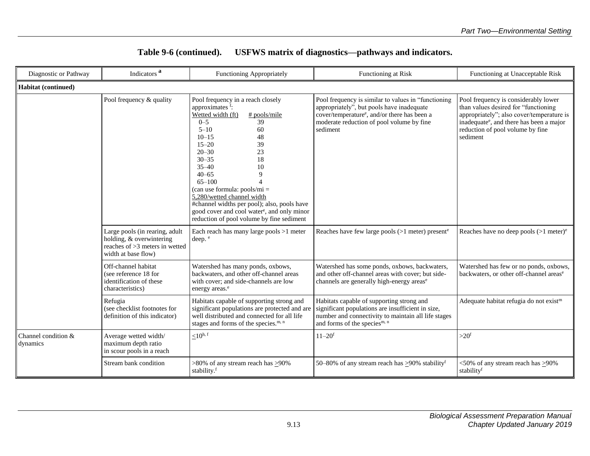| Diagnostic or Pathway           | Indicators <sup>a</sup>                                                                                             | Functioning Appropriately                                                                                                                                                                                                                                                                                                                                                                                                                                                                        | Functioning at Risk                                                                                                                                                                                                   | Functioning at Unacceptable Risk                                                                                                                                                                                                  |  |  |  |
|---------------------------------|---------------------------------------------------------------------------------------------------------------------|--------------------------------------------------------------------------------------------------------------------------------------------------------------------------------------------------------------------------------------------------------------------------------------------------------------------------------------------------------------------------------------------------------------------------------------------------------------------------------------------------|-----------------------------------------------------------------------------------------------------------------------------------------------------------------------------------------------------------------------|-----------------------------------------------------------------------------------------------------------------------------------------------------------------------------------------------------------------------------------|--|--|--|
| Habitat (continued)             |                                                                                                                     |                                                                                                                                                                                                                                                                                                                                                                                                                                                                                                  |                                                                                                                                                                                                                       |                                                                                                                                                                                                                                   |  |  |  |
|                                 | Pool frequency & quality                                                                                            | Pool frequency in a reach closely<br>approximates <sup>f</sup> :<br>Wetted width (ft)<br>$#$ pools/mile<br>$0 - 5$<br>39<br>$5 - 10$<br>60<br>$10 - 15$<br>48<br>$15 - 20$<br>39<br>$20 - 30$<br>23<br>$30 - 35$<br>18<br>$35 - 40$<br>10<br>$40 - 65$<br>9<br>$65 - 100$<br>(can use formula: $pools/mi =$<br>5,280/wetted channel width<br>#channel widths per pool); also, pools have<br>good cover and cool water <sup>e</sup> , and only minor<br>reduction of pool volume by fine sediment | Pool frequency is similar to values in "functioning<br>appropriately", but pools have inadequate<br>cover/temperature <sup>e</sup> , and/or there has been a<br>moderate reduction of pool volume by fine<br>sediment | Pool frequency is considerably lower<br>than values desired for "functioning<br>appropriately"; also cover/temperature is<br>inadequate <sup>e</sup> , and there has been a major<br>reduction of pool volume by fine<br>sediment |  |  |  |
|                                 | Large pools (in rearing, adult<br>holding, & overwintering<br>reaches of >3 meters in wetted<br>width at base flow) | Each reach has many large pools $>1$ meter<br>deep. e                                                                                                                                                                                                                                                                                                                                                                                                                                            | Reaches have few large pools $(>1$ meter) present <sup>e</sup>                                                                                                                                                        | Reaches have no deep pools $(>1$ meter) <sup>e</sup>                                                                                                                                                                              |  |  |  |
|                                 | Off-channel habitat<br>(see reference 18 for<br>identification of these<br>characteristics)                         | Watershed has many ponds, oxbows,<br>backwaters, and other off-channel areas<br>with cover; and side-channels are low<br>energy areas. <sup>e</sup>                                                                                                                                                                                                                                                                                                                                              | Watershed has some ponds, oxbows, backwaters,<br>and other off-channel areas with cover; but side-<br>channels are generally high-energy areas <sup>e</sup>                                                           | Watershed has few or no ponds, oxbows,<br>backwaters, or other off-channel areas <sup>e</sup>                                                                                                                                     |  |  |  |
|                                 | Refugia<br>(see checklist footnotes for<br>definition of this indicator)                                            | Habitats capable of supporting strong and<br>significant populations are protected and are<br>well distributed and connected for all life<br>stages and forms of the species. <sup>m, n</sup>                                                                                                                                                                                                                                                                                                    | Habitats capable of supporting strong and<br>significant populations are insufficient in size,<br>number and connectivity to maintain all life stages<br>and forms of the species <sup>m, n</sup>                     | Adequate habitat refugia do not exist <sup>m</sup>                                                                                                                                                                                |  |  |  |
| Channel condition &<br>dynamics | Average wetted width/<br>maximum depth ratio<br>in scour pools in a reach                                           | $\leq 10^{h, f}$                                                                                                                                                                                                                                                                                                                                                                                                                                                                                 | $11 - 20$ <sup>f</sup>                                                                                                                                                                                                | $>20^f$                                                                                                                                                                                                                           |  |  |  |
|                                 | Stream bank condition                                                                                               | $>80\%$ of any stream reach has $\geq 90\%$<br>stability.f                                                                                                                                                                                                                                                                                                                                                                                                                                       | 50–80% of any stream reach has $\geq$ 90% stability <sup>f</sup>                                                                                                                                                      | $<50\%$ of any stream reach has $>90\%$<br>stabilityf                                                                                                                                                                             |  |  |  |

#### **Table 9-6 (continued). USFWS matrix of diagnostics—pathways and indicators.**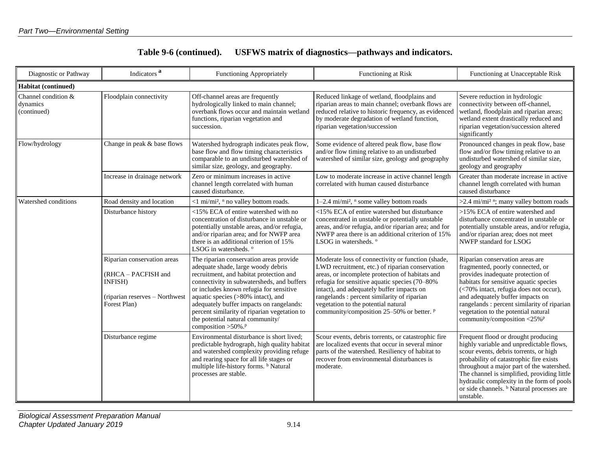| Table 9-6 (continued). |  |  | USFWS matrix of diagnostics—pathways and indicators. |
|------------------------|--|--|------------------------------------------------------|
|------------------------|--|--|------------------------------------------------------|

| Diagnostic or Pathway                          | Indicators <sup>a</sup>                                                                                          | <b>Functioning Appropriately</b>                                                                                                                                                                                                                                                                                                                                                                                            | Functioning at Risk                                                                                                                                                                                                                                                                                                                                                                      | Functioning at Unacceptable Risk                                                                                                                                                                                                                                                                                                                                                   |  |
|------------------------------------------------|------------------------------------------------------------------------------------------------------------------|-----------------------------------------------------------------------------------------------------------------------------------------------------------------------------------------------------------------------------------------------------------------------------------------------------------------------------------------------------------------------------------------------------------------------------|------------------------------------------------------------------------------------------------------------------------------------------------------------------------------------------------------------------------------------------------------------------------------------------------------------------------------------------------------------------------------------------|------------------------------------------------------------------------------------------------------------------------------------------------------------------------------------------------------------------------------------------------------------------------------------------------------------------------------------------------------------------------------------|--|
| Habitat (continued)                            |                                                                                                                  |                                                                                                                                                                                                                                                                                                                                                                                                                             |                                                                                                                                                                                                                                                                                                                                                                                          |                                                                                                                                                                                                                                                                                                                                                                                    |  |
| Channel condition &<br>dynamics<br>(continued) | Floodplain connectivity                                                                                          | Off-channel areas are frequently<br>Reduced linkage of wetland, floodplains and<br>hydrologically linked to main channel;<br>riparian areas to main channel; overbank flows are<br>overbank flows occur and maintain wetland<br>reduced relative to historic frequency, as evidenced<br>functions, riparian vegetation and<br>by moderate degradation of wetland function,<br>riparian vegetation/succession<br>succession. |                                                                                                                                                                                                                                                                                                                                                                                          | Severe reduction in hydrologic<br>connectivity between off-channel,<br>wetland, floodplain and riparian areas;<br>wetland extent drastically reduced and<br>riparian vegetation/succession altered<br>significantly                                                                                                                                                                |  |
| Flow/hydrology                                 | Change in peak & base flows                                                                                      | Watershed hydrograph indicates peak flow,<br>base flow and flow timing characteristics<br>comparable to an undisturbed watershed of<br>similar size, geology, and geography.                                                                                                                                                                                                                                                | Some evidence of altered peak flow, base flow<br>Pronounced changes in peak flow, base<br>and/or flow timing relative to an undisturbed<br>flow and/or flow timing relative to an<br>undisturbed watershed of similar size,<br>watershed of similar size, geology and geography<br>geology and geography                                                                                 |                                                                                                                                                                                                                                                                                                                                                                                    |  |
|                                                | Increase in drainage network                                                                                     | Zero or minimum increases in active<br>channel length correlated with human<br>caused disturbance.                                                                                                                                                                                                                                                                                                                          | Low to moderate increase in active channel length<br>correlated with human caused disturbance                                                                                                                                                                                                                                                                                            | Greater than moderate increase in active<br>channel length correlated with human<br>caused disturbance                                                                                                                                                                                                                                                                             |  |
| Watershed conditions                           | Road density and location                                                                                        | <1 mi/mi <sup>2</sup> , <sup>n</sup> no valley bottom roads.                                                                                                                                                                                                                                                                                                                                                                | 1-2.4 mi/mi <sup>2</sup> , $n$ some valley bottom roads                                                                                                                                                                                                                                                                                                                                  | >2.4 mi/mi <sup>2 n</sup> ; many valley bottom roads                                                                                                                                                                                                                                                                                                                               |  |
|                                                | Disturbance history                                                                                              | <15% ECA of entire watershed with no<br>concentration of disturbance in unstable or<br>potentially unstable areas, and/or refugia,<br>and/or riparian area; and for NWFP area<br>there is an additional criterion of 15%<br>LSOG in watersheds. °                                                                                                                                                                           | <15% ECA of entire watershed but disturbance<br>concentrated in unstable or potentially unstable<br>areas, and/or refugia, and/or riparian area; and for<br>NWFP area there is an additional criterion of 15%<br>LSOG in watersheds. °                                                                                                                                                   | >15% ECA of entire watershed and<br>disturbance concentrated in unstable or<br>potentially unstable areas, and/or refugia,<br>and/or riparian area; does not meet<br>NWFP standard for LSOG                                                                                                                                                                                        |  |
|                                                | Riparian conservation areas<br>(RHCA - PACFISH and<br>INFISH)<br>(riparian reserves – Northwest)<br>Forest Plan) | The riparian conservation areas provide<br>adequate shade, large woody debris<br>recruitment, and habitat protection and<br>connectivity in subwatersheds, and buffers<br>or includes known refugia for sensitive<br>aquatic species (>80% intact), and<br>adequately buffer impacts on rangelands:<br>percent similarity of riparian vegetation to<br>the potential natural community/<br>composition >50%. <sup>p</sup>   | Moderate loss of connectivity or function (shade,<br>LWD recruitment, etc.) of riparian conservation<br>areas, or incomplete protection of habitats and<br>refugia for sensitive aquatic species (70-80%<br>intact), and adequately buffer impacts on<br>rangelands : percent similarity of riparian<br>vegetation to the potential natural<br>community/composition 25-50% or better. P | Riparian conservation areas are<br>fragmented, poorly connected, or<br>provides inadequate protection of<br>habitats for sensitive aquatic species<br>(<70% intact, refugia does not occur),<br>and adequately buffer impacts on<br>rangelands : percent similarity of riparian<br>vegetation to the potential natural<br>community/composition <25% <sup>P</sup>                  |  |
|                                                | Disturbance regime                                                                                               | Environmental disturbance is short lived;<br>predictable hydrograph, high quality habitat<br>and watershed complexity providing refuge<br>and rearing space for all life stages or<br>multiple life-history forms. <sup>b</sup> Natural<br>processes are stable.                                                                                                                                                            | Scour events, debris torrents, or catastrophic fire<br>are localized events that occur in several minor<br>parts of the watershed. Resiliency of habitat to<br>recover from environmental disturbances is<br>moderate.                                                                                                                                                                   | Frequent flood or drought producing<br>highly variable and unpredictable flows,<br>scour events, debris torrents, or high<br>probability of catastrophic fire exists<br>throughout a major part of the watershed.<br>The channel is simplified, providing little<br>hydraulic complexity in the form of pools<br>or side channels. <sup>b</sup> Natural processes are<br>unstable. |  |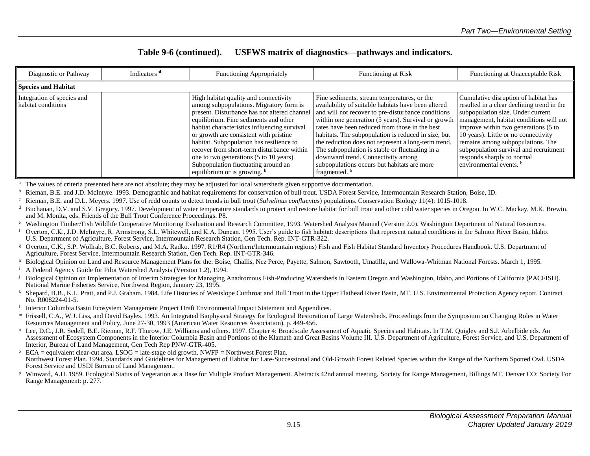#### **Table 9-6 (continued). USFWS matrix of diagnostics—pathways and indicators.**

| Diagnostic or Pathway                            | Indicators <sup>a</sup> | <b>Functioning Appropriately</b>                                                                                                                                                                                                                                                                                                                                                                                                                                                  | <b>Functioning at Risk</b>                                                                                                                                                                                                                                                                                                                                                                                                                                                                                                                          | Functioning at Unacceptable Risk                                                                                                                                                                                                                                                                                                                                                                      |  |
|--------------------------------------------------|-------------------------|-----------------------------------------------------------------------------------------------------------------------------------------------------------------------------------------------------------------------------------------------------------------------------------------------------------------------------------------------------------------------------------------------------------------------------------------------------------------------------------|-----------------------------------------------------------------------------------------------------------------------------------------------------------------------------------------------------------------------------------------------------------------------------------------------------------------------------------------------------------------------------------------------------------------------------------------------------------------------------------------------------------------------------------------------------|-------------------------------------------------------------------------------------------------------------------------------------------------------------------------------------------------------------------------------------------------------------------------------------------------------------------------------------------------------------------------------------------------------|--|
| Species and Habitat                              |                         |                                                                                                                                                                                                                                                                                                                                                                                                                                                                                   |                                                                                                                                                                                                                                                                                                                                                                                                                                                                                                                                                     |                                                                                                                                                                                                                                                                                                                                                                                                       |  |
| Integration of species and<br>habitat conditions |                         | High habitat quality and connectivity<br>among subpopulations. Migratory form is<br>present. Disturbance has not altered channel<br>equilibrium. Fine sediments and other<br>habitat characteristics influencing survival<br>or growth are consistent with pristine<br>habitat. Subpopulation has resilience to<br>recover from short-term disturbance within<br>one to two generations (5 to 10 years).<br>Subpopulation fluctuating around an<br>equilibrium or is growing. $b$ | Fine sediments, stream temperatures, or the<br>availability of suitable habitats have been altered<br>and will not recover to pre-disturbance conditions<br>within one generation (5 years). Survival or growth<br>rates have been reduced from those in the best<br>habitats. The subpopulation is reduced in size, but<br>the reduction does not represent a long-term trend.<br>The subpopulation is stable or fluctuating in a<br>downward trend. Connectivity among<br>subpopulations occurs but habitats are more<br>fragmented. <sup>b</sup> | Cumulative disruption of habitat has<br>resulted in a clear declining trend in the<br>subpopulation size. Under current<br>management, habitat conditions will not<br>improve within two generations (5 to<br>10 years). Little or no connectivity<br>remains among subpopulations. The<br>subpopulation survival and recruitment<br>responds sharply to normal<br>environmental events. <sup>b</sup> |  |

<sup>a</sup> The values of criteria presented here are not absolute; they may be adjusted for local watersheds given supportive documentation.

<sup>b</sup> Rieman, B.E. and J.D. McIntyre. 1993. Demographic and habitat requirements for conservation of bull trout. USDA Forest Service, Intermountain Research Station, Boise, ID.

<sup>c</sup> Rieman, B.E. and D.L. Meyers. 1997. Use of redd counts to detect trends in bull trout (*Salvelinus confluentus*) populations. Conservation Biology 11(4): 1015-1018.

Buchanan, D.V. and S.V. Gregory. 1997. Development of water temperature standards to protect and restore habitat for bull trout and other cold water species in Oregon. In W.C. Mackay, M.K. Brewin, and M. Monita, eds. Friends of the Bull Trout Conference Proceedings. P8.

<sup>e</sup> Washington Timber/Fish Wildlife Cooperative Monitoring Evaluation and Research Committee, 1993. Watershed Analysis Manual (Version 2.0). Washington Department of Natural Resources.

- <sup>f</sup> Overton, C.K., J.D. McIntyre, R. Armstrong, S.L. Whitewell, and K.A. Duncan. 1995. User's guide to fish habitat: descriptions that represent natural conditions in the Salmon River Basin, Idaho. U.S. Department of Agriculture, Forest Service, Intermountain Research Station, Gen Tech. Rep. INT-GTR-322.
- <sup>g</sup> Overton, C.K., S.P. Wollrab, B.C. Roberts, and M.A. Radko. 1997. R1/R4 (Northern/Intermountain regions) Fish and Fish Habitat Standard Inventory Procedures Handbook. U.S. Department of Agriculture, Forest Service, Intermountain Research Station, Gen Tech. Rep. INT-GTR-346.
- <sup>h</sup> Biological Opinion on Land and Resource Management Plans for the: Boise, Challis, Nez Perce, Payette, Salmon, Sawtooth, Umatilla, and Wallowa-Whitman National Forests. March 1, 1995.

<sup>i</sup> A Federal Agency Guide for Pilot Watershed Analysis (Version 1.2), 1994.

- Biological Opinion on Implementation of Interim Strategies for Managing Anadromous Fish-Producing Watersheds in Eastern Oregon and Washington, Idaho, and Portions of California (PACFISH). National Marine Fisheries Service, Northwest Region, January 23, 1995.
- <sup>k</sup> Shepard, B.B., K.L. Pratt, and P.J. Graham. 1984. Life Histories of Westslope Cutthroat and Bull Trout in the Upper Flathead River Basin, MT. U.S. Environmental Protection Agency report. Contract No. R008224-01-5.

l Interior Columbia Basin Ecosystem Management Project Draft Environmental Impact Statement and Appendices.

- m Frissell, C.A., W.J. Liss, and David Bayles. 1993. An Integrated Biophysical Strategy for Ecological Restoration of Large Watersheds. Proceedings from the Symposium on Changing Roles in Water Resources Management and Policy, June 27-30, 1993 (American Water Resources Association), p. 449-456.
- <sup>n</sup> Lee, D.C., J.R. Sedell, B.E. Rieman, R.F. Thurow, J.E. Williams and others. 1997. Chapter 4: Broadscale Assessment of Aquatic Species and Habitats. In T.M. Quigley and S.J. Arbelbide eds. An Assessment of Ecosystem Components in the Interior Columbia Basin and Portions of the Klamath and Great Basins Volume III. U.S. Department of Agriculture, Forest Service, and U.S. Department of Interior, Bureau of Land Management, Gen Tech Rep PNW-GTR-405.
- $\degree$  ECA = equivalent clear-cut area. LSOG = late-stage old growth. NWFP = Northwest Forest Plan. Northwest Forest Plan. 1994. Standards and Guidelines for Management of Habitat for Late-Successional and Old-Growth Forest Related Species within the Range of the Northern Spotted Owl. USDA Forest Service and USDI Bureau of Land Management.
- <sup>p</sup> Winward, A.H. 1989. Ecological Status of Vegetation as a Base for Multiple Product Management. Abstracts 42nd annual meeting, Society for Range Management, Billings MT, Denver CO: Society For Range Management: p. 277.